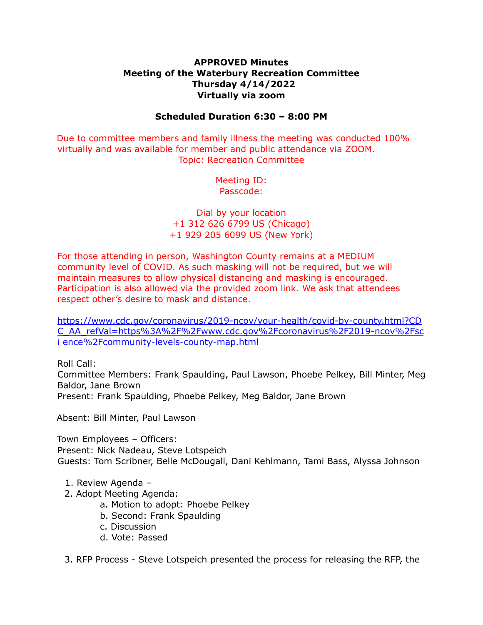## **APPROVED Minutes Meeting of the Waterbury Recreation Committee Thursday 4/14/2022 Virtually via zoom**

## **Scheduled Duration 6:30 – 8:00 PM**

Due to committee members and family illness the meeting was conducted 100% virtually and was available for member and public attendance via ZOOM. Topic: Recreation Committee

> Meeting ID: Passcode:

Dial by your location +1 312 626 6799 US (Chicago) +1 929 205 6099 US (New York)

For those attending in person, Washington County remains at a MEDIUM community level of COVID. As such masking will not be required, but we will maintain measures to allow physical distancing and masking is encouraged. Participation is also allowed via the provided zoom link. We ask that attendees respect other's desire to mask and distance.

https://www.cdc.gov/coronavirus/2019-ncov/your-health/covid-by-county.html?CD C\_AA\_refVal=https%3A%2F%2Fwww.cdc.gov%2Fcoronavirus%2F2019-ncov%2Fsc i ence%2Fcommunity-levels-county-map.html

Roll Call:

Committee Members: Frank Spaulding, Paul Lawson, Phoebe Pelkey, Bill Minter, Meg Baldor, Jane Brown

Present: Frank Spaulding, Phoebe Pelkey, Meg Baldor, Jane Brown

Absent: Bill Minter, Paul Lawson

Town Employees – Officers: Present: Nick Nadeau, Steve Lotspeich Guests: Tom Scribner, Belle McDougall, Dani Kehlmann, Tami Bass, Alyssa Johnson

- 1. Review Agenda –
- 2. Adopt Meeting Agenda:
	- a. Motion to adopt: Phoebe Pelkey
	- b. Second: Frank Spaulding
	- c. Discussion
	- d. Vote: Passed

3. RFP Process - Steve Lotspeich presented the process for releasing the RFP, the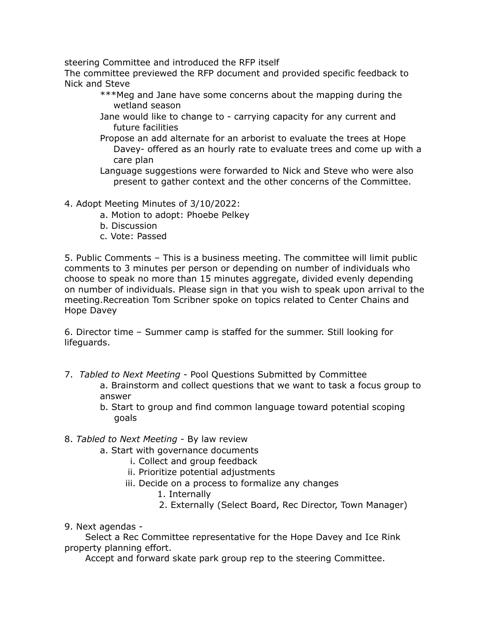steering Committee and introduced the RFP itself

The committee previewed the RFP document and provided specific feedback to Nick and Steve

- \*\*\*Meg and Jane have some concerns about the mapping during the wetland season
- Jane would like to change to carrying capacity for any current and future facilities
- Propose an add alternate for an arborist to evaluate the trees at Hope Davey- offered as an hourly rate to evaluate trees and come up with a care plan
- Language suggestions were forwarded to Nick and Steve who were also present to gather context and the other concerns of the Committee.

4. Adopt Meeting Minutes of 3/10/2022:

- a. Motion to adopt: Phoebe Pelkey
- b. Discussion
- c. Vote: Passed

5. Public Comments – This is a business meeting. The committee will limit public comments to 3 minutes per person or depending on number of individuals who choose to speak no more than 15 minutes aggregate, divided evenly depending on number of individuals. Please sign in that you wish to speak upon arrival to the meeting.Recreation Tom Scribner spoke on topics related to Center Chains and Hope Davey

6. Director time – Summer camp is staffed for the summer. Still looking for lifeguards.

- 7. *Tabled to Next Meeting* Pool Questions Submitted by Committee
	- a. Brainstorm and collect questions that we want to task a focus group to answer
	- b. Start to group and find common language toward potential scoping goals
- 8. *Tabled to Next Meeting* By law review
	- a. Start with governance documents
		- i. Collect and group feedback
		- ii. Prioritize potential adjustments
		- iii. Decide on a process to formalize any changes
			- 1. Internally
			- 2. Externally (Select Board, Rec Director, Town Manager)
- 9. Next agendas -

Select a Rec Committee representative for the Hope Davey and Ice Rink property planning effort.

Accept and forward skate park group rep to the steering Committee.